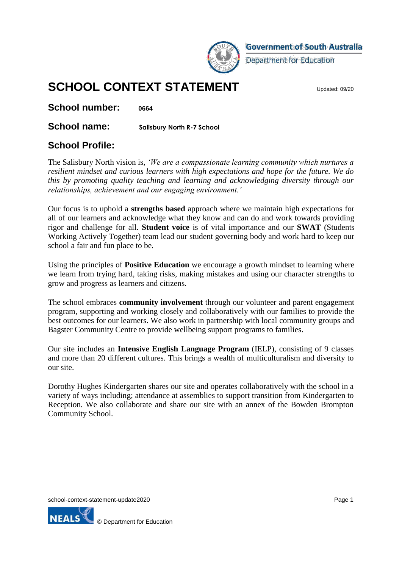

**Government of South Australia** 

Department for Education

# **SCHOOL CONTEXT STATEMENT**

**School number: <sup>0664</sup>**

**School name: Salisbury North R-7 School**

### **School Profile:**

The Salisbury North vision is, *'We are a compassionate learning community which nurtures a resilient mindset and curious learners with high expectations and hope for the future. We do this by promoting quality teaching and learning and acknowledging diversity through our relationships, achievement and our engaging environment.'*

Our focus is to uphold a **strengths based** approach where we maintain high expectations for all of our learners and acknowledge what they know and can do and work towards providing rigor and challenge for all. **Student voice** is of vital importance and our **SWAT** (Students Working Actively Together) team lead our student governing body and work hard to keep our school a fair and fun place to be.

Using the principles of **Positive Education** we encourage a growth mindset to learning where we learn from trying hard, taking risks, making mistakes and using our character strengths to grow and progress as learners and citizens.

The school embraces **community involvement** through our volunteer and parent engagement program, supporting and working closely and collaboratively with our families to provide the best outcomes for our learners. We also work in partnership with local community groups and Bagster Community Centre to provide wellbeing support programs to families.

Our site includes an **Intensive English Language Program** (IELP), consisting of 9 classes and more than 20 different cultures. This brings a wealth of multiculturalism and diversity to our site.

Dorothy Hughes Kindergarten shares our site and operates collaboratively with the school in a variety of ways including; attendance at assemblies to support transition from Kindergarten to Reception. We also collaborate and share our site with an annex of the Bowden Brompton Community School.

school-context-statement-update2020 **Page 1** Page 1

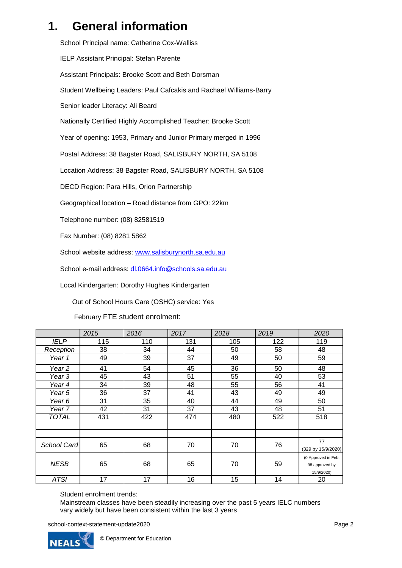## **1. General information**

School Principal name: Catherine Cox-Walliss IELP Assistant Principal: Stefan Parente Assistant Principals: Brooke Scott and Beth Dorsman Student Wellbeing Leaders: Paul Cafcakis and Rachael Williams-Barry Senior leader Literacy: Ali Beard Nationally Certified Highly Accomplished Teacher: Brooke Scott Year of opening: 1953, Primary and Junior Primary merged in 1996 Postal Address: 38 Bagster Road, SALISBURY NORTH, SA 5108 Location Address: 38 Bagster Road, SALISBURY NORTH, SA 5108 DECD Region: Para Hills, Orion Partnership Geographical location – Road distance from GPO: 22km Telephone number: (08) 82581519 Fax Number: (08) 8281 5862 School website address: [www.salisburynorth.sa.edu.au](http://www.salisburynorth.sa.edu.au/) School e-mail address: [dl.0664.info@schools.sa.edu.au](mailto:dl.0664.info@schools.sa.edu.au)

Local Kindergarten: Dorothy Hughes Kindergarten

Out of School Hours Care (OSHC) service: Yes

February FTE student enrolment:

|                   | 2015 | 2016 | 2017 | 2018 | 2019 | 2020                |
|-------------------|------|------|------|------|------|---------------------|
| <b>IELP</b>       | 115  | 110  | 131  | 105  | 122  | 119                 |
| Reception         | 38   | 34   | 44   | 50   | 58   | 48                  |
| Year 1            | 49   | 39   | 37   | 49   | 50   | 59                  |
| Year <sub>2</sub> | 41   | 54   | 45   | 36   | 50   | 48                  |
| Year 3            | 45   | 43   | 51   | 55   | 40   | 53                  |
| Year 4            | 34   | 39   | 48   | 55   | 56   | 41                  |
| Year 5            | 36   | 37   | 41   | 43   | 49   | 49                  |
| Year 6            | 31   | 35   | 40   | 44   | 49   | 50                  |
| Year 7            | 42   | 31   | 37   | 43   | 48   | 51                  |
| TOTAL             | 431  | 422  | 474  | 480  | 522  | 518                 |
|                   |      |      |      |      |      |                     |
| School Card       | 65   | 68   | 70   | 70   | 76   | 77                  |
|                   |      |      |      |      |      | (329 by 15/9/2020)  |
|                   |      |      |      |      |      | (0 Approved in Feb, |
| <b>NESB</b>       | 65   | 68   | 65   | 70   | 59   | 98 approved by      |
|                   |      |      |      |      |      | 15/9/2020)          |
| <b>ATSI</b>       | 17   | 17   | 16   | 15   | 14   | 20                  |

Student enrolment trends:

Mainstream classes have been steadily increasing over the past 5 years IELC numbers vary widely but have been consistent within the last 3 years

school-context-statement-update2020 **Page 2** Page 2

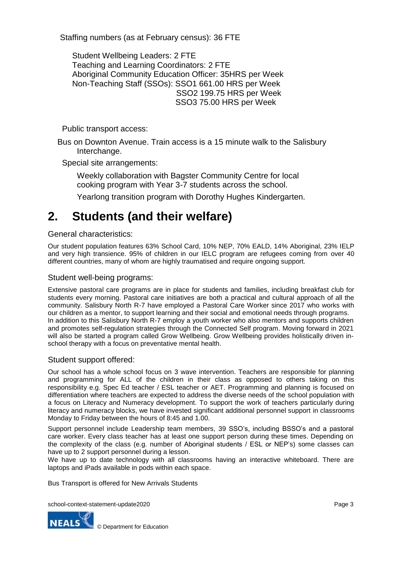Staffing numbers (as at February census): 36 FTE

Student Wellbeing Leaders: 2 FTE Teaching and Learning Coordinators: 2 FTE Aboriginal Community Education Officer: 35HRS per Week Non-Teaching Staff (SSOs): SSO1 661.00 HRS per Week SSO2 199.75 HRS per Week SSO3 75.00 HRS per Week

Public transport access:

Bus on Downton Avenue. Train access is a 15 minute walk to the Salisbury Interchange.

Special site arrangements:

Weekly collaboration with Bagster Community Centre for local cooking program with Year 3-7 students across the school.

Yearlong transition program with Dorothy Hughes Kindergarten.

## **2. Students (and their welfare)**

General characteristics:

Our student population features 63% School Card, 10% NEP, 70% EALD, 14% Aboriginal, 23% IELP and very high transience. 95% of children in our IELC program are refugees coming from over 40 different countries, many of whom are highly traumatised and require ongoing support.

### Student well-being programs:

Extensive pastoral care programs are in place for students and families, including breakfast club for students every morning. Pastoral care initiatives are both a practical and cultural approach of all the community. Salisbury North R-7 have employed a Pastoral Care Worker since 2017 who works with our children as a mentor, to support learning and their social and emotional needs through programs. In addition to this Salisbury North R-7 employ a youth worker who also mentors and supports children and promotes self-regulation strategies through the Connected Self program. Moving forward in 2021 will also be started a program called Grow Wellbeing. Grow Wellbeing provides holistically driven inschool therapy with a focus on preventative mental health.

### Student support offered:

Our school has a whole school focus on 3 wave intervention. Teachers are responsible for planning and programming for ALL of the children in their class as opposed to others taking on this responsibility e.g. Spec Ed teacher / ESL teacher or AET. Programming and planning is focused on differentiation where teachers are expected to address the diverse needs of the school population with a focus on Literacy and Numeracy development. To support the work of teachers particularly during literacy and numeracy blocks, we have invested significant additional personnel support in classrooms Monday to Friday between the hours of 8:45 and 1.00.

Support personnel include Leadership team members, 39 SSO's, including BSSO's and a pastoral care worker. Every class teacher has at least one support person during these times. Depending on the complexity of the class (e.g. number of Aboriginal students / ESL or NEP's) some classes can have up to 2 support personnel during a lesson.

We have up to date technology with all classrooms having an interactive whiteboard. There are laptops and iPads available in pods within each space.

Bus Transport is offered for New Arrivals Students

school-context-statement-update2020 **Page 3** Page 3

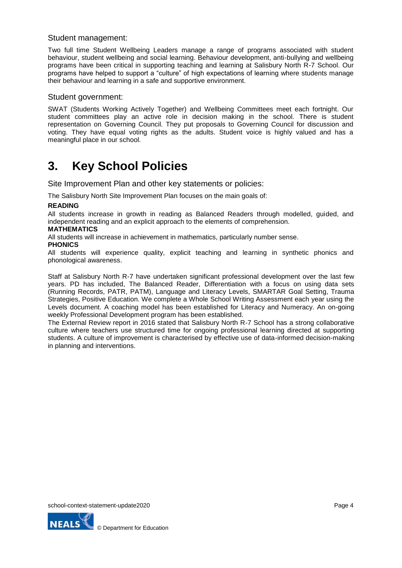### Student management:

Two full time Student Wellbeing Leaders manage a range of programs associated with student behaviour, student wellbeing and social learning. Behaviour development, anti-bullying and wellbeing programs have been critical in supporting teaching and learning at Salisbury North R-7 School. Our programs have helped to support a "culture" of high expectations of learning where students manage their behaviour and learning in a safe and supportive environment.

### Student government:

SWAT (Students Working Actively Together) and Wellbeing Committees meet each fortnight. Our student committees play an active role in decision making in the school. There is student representation on Governing Council. They put proposals to Governing Council for discussion and voting. They have equal voting rights as the adults. Student voice is highly valued and has a meaningful place in our school.

## **3. Key School Policies**

Site Improvement Plan and other key statements or policies:

The Salisbury North Site Improvement Plan focuses on the main goals of:

### **READING**

All students increase in growth in reading as Balanced Readers through modelled, guided, and independent reading and an explicit approach to the elements of comprehension.

#### **MATHEMATICS**

All students will increase in achievement in mathematics, particularly number sense.

### **PHONICS**

All students will experience quality, explicit teaching and learning in synthetic phonics and phonological awareness.

Staff at Salisbury North R-7 have undertaken significant professional development over the last few years. PD has included, The Balanced Reader, Differentiation with a focus on using data sets (Running Records, PATR, PATM), Language and Literacy Levels, SMARTAR Goal Setting, Trauma Strategies, Positive Education. We complete a Whole School Writing Assessment each year using the Levels document. A coaching model has been established for Literacy and Numeracy. An on-going weekly Professional Development program has been established.

The External Review report in 2016 stated that Salisbury North R-7 School has a strong collaborative culture where teachers use structured time for ongoing professional learning directed at supporting students. A culture of improvement is characterised by effective use of data-informed decision-making in planning and interventions.

school-context-statement-update2020 **Page 4** Page 4

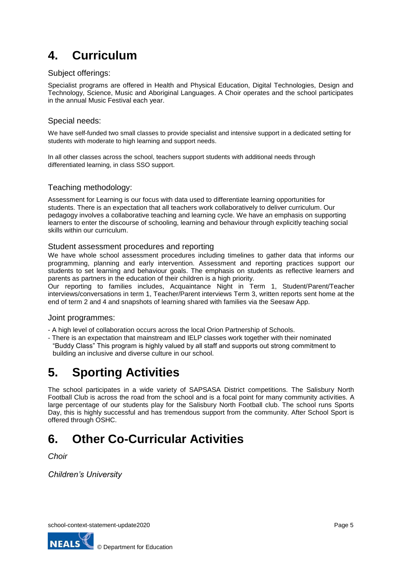# **4. Curriculum**

### Subject offerings:

Specialist programs are offered in Health and Physical Education, Digital Technologies, Design and Technology, Science, Music and Aboriginal Languages. A Choir operates and the school participates in the annual Music Festival each year.

### Special needs:

We have self-funded two small classes to provide specialist and intensive support in a dedicated setting for students with moderate to high learning and support needs.

In all other classes across the school, teachers support students with additional needs through differentiated learning, in class SSO support.

### Teaching methodology:

Assessment for Learning is our focus with data used to differentiate learning opportunities for students. There is an expectation that all teachers work collaboratively to deliver curriculum. Our pedagogy involves a collaborative teaching and learning cycle. We have an emphasis on supporting learners to enter the discourse of schooling, learning and behaviour through explicitly teaching social skills within our curriculum.

### Student assessment procedures and reporting

We have whole school assessment procedures including timelines to gather data that informs our programming, planning and early intervention. Assessment and reporting practices support our students to set learning and behaviour goals. The emphasis on students as reflective learners and parents as partners in the education of their children is a high priority.

Our reporting to families includes, Acquaintance Night in Term 1, Student/Parent/Teacher interviews/conversations in term 1, Teacher/Parent interviews Term 3, written reports sent home at the end of term 2 and 4 and snapshots of learning shared with families via the Seesaw App.

### Joint programmes:

- A high level of collaboration occurs across the local Orion Partnership of Schools.
- There is an expectation that mainstream and IELP classes work together with their nominated "Buddy Class" This program is highly valued by all staff and supports out strong commitment to building an inclusive and diverse culture in our school.

## **5. Sporting Activities**

The school participates in a wide variety of SAPSASA District competitions. The Salisbury North Football Club is across the road from the school and is a focal point for many community activities. A large percentage of our students play for the Salisbury North Football club. The school runs Sports Day, this is highly successful and has tremendous support from the community. After School Sport is offered through OSHC.

# **6. Other Co-Curricular Activities**

*Choir*

*Children's University*

school-context-statement-update2020 **Page 5** Page 5

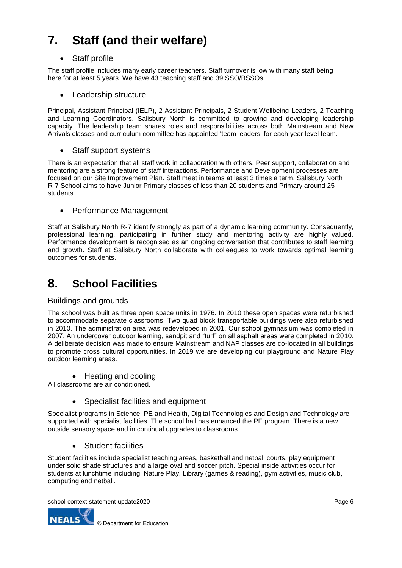# **7. Staff (and their welfare)**

### Staff profile

The staff profile includes many early career teachers. Staff turnover is low with many staff being here for at least 5 years. We have 43 teaching staff and 39 SSO/BSSOs.

• Leadership structure

Principal, Assistant Principal (IELP), 2 Assistant Principals, 2 Student Wellbeing Leaders, 2 Teaching and Learning Coordinators. Salisbury North is committed to growing and developing leadership capacity. The leadership team shares roles and responsibilities across both Mainstream and New Arrivals classes and curriculum committee has appointed 'team leaders' for each year level team.

• Staff support systems

There is an expectation that all staff work in collaboration with others. Peer support, collaboration and mentoring are a strong feature of staff interactions. Performance and Development processes are focused on our Site Improvement Plan. Staff meet in teams at least 3 times a term. Salisbury North R-7 School aims to have Junior Primary classes of less than 20 students and Primary around 25 students.

• Performance Management

Staff at Salisbury North R-7 identify strongly as part of a dynamic learning community. Consequently, professional learning, participating in further study and mentoring activity are highly valued. Performance development is recognised as an ongoing conversation that contributes to staff learning and growth. Staff at Salisbury North collaborate with colleagues to work towards optimal learning outcomes for students.

### **8. School Facilities**

### Buildings and grounds

The school was built as three open space units in 1976. In 2010 these open spaces were refurbished to accommodate separate classrooms. Two quad block transportable buildings were also refurbished in 2010. The administration area was redeveloped in 2001. Our school gymnasium was completed in 2007. An undercover outdoor learning, sandpit and "turf" on all asphalt areas were completed in 2010. A deliberate decision was made to ensure Mainstream and NAP classes are co-located in all buildings to promote cross cultural opportunities. In 2019 we are developing our playground and Nature Play outdoor learning areas.

• Heating and cooling

All classrooms are air conditioned.

• Specialist facilities and equipment

Specialist programs in Science, PE and Health, Digital Technologies and Design and Technology are supported with specialist facilities. The school hall has enhanced the PE program. There is a new outside sensory space and in continual upgrades to classrooms.

• Student facilities

Student facilities include specialist teaching areas, basketball and netball courts, play equipment under solid shade structures and a large oval and soccer pitch. Special inside activities occur for students at lunchtime including, Nature Play, Library (games & reading), gym activities, music club, computing and netball.

school-context-statement-update2020 **Page 6** Page 6

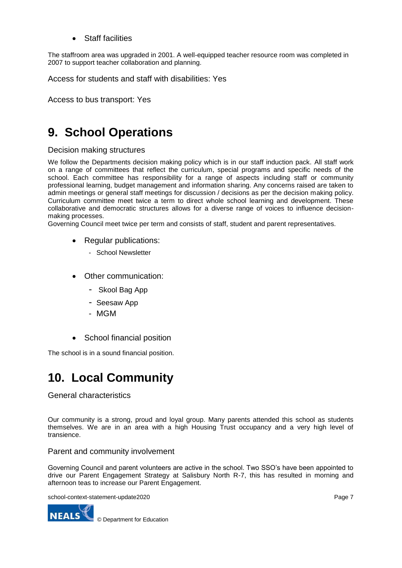Staff facilities

The staffroom area was upgraded in 2001. A well-equipped teacher resource room was completed in 2007 to support teacher collaboration and planning.

Access for students and staff with disabilities: Yes

Access to bus transport: Yes

## **9. School Operations**

### Decision making structures

We follow the Departments decision making policy which is in our staff induction pack. All staff work on a range of committees that reflect the curriculum, special programs and specific needs of the school. Each committee has responsibility for a range of aspects including staff or community professional learning, budget management and information sharing. Any concerns raised are taken to admin meetings or general staff meetings for discussion / decisions as per the decision making policy. Curriculum committee meet twice a term to direct whole school learning and development. These collaborative and democratic structures allows for a diverse range of voices to influence decisionmaking processes.

Governing Council meet twice per term and consists of staff, student and parent representatives.

- Regular publications:
	- School Newsletter
- Other communication:
	- Skool Bag App
	- Seesaw App
	- MGM
- School financial position

The school is in a sound financial position.

## **10. Local Community**

### General characteristics

Our community is a strong, proud and loyal group. Many parents attended this school as students themselves. We are in an area with a high Housing Trust occupancy and a very high level of transience.

Parent and community involvement

Governing Council and parent volunteers are active in the school. Two SSO's have been appointed to drive our Parent Engagement Strategy at Salisbury North R-7, this has resulted in morning and afternoon teas to increase our Parent Engagement.

school-context-statement-update2020 **Page 7** Page 7